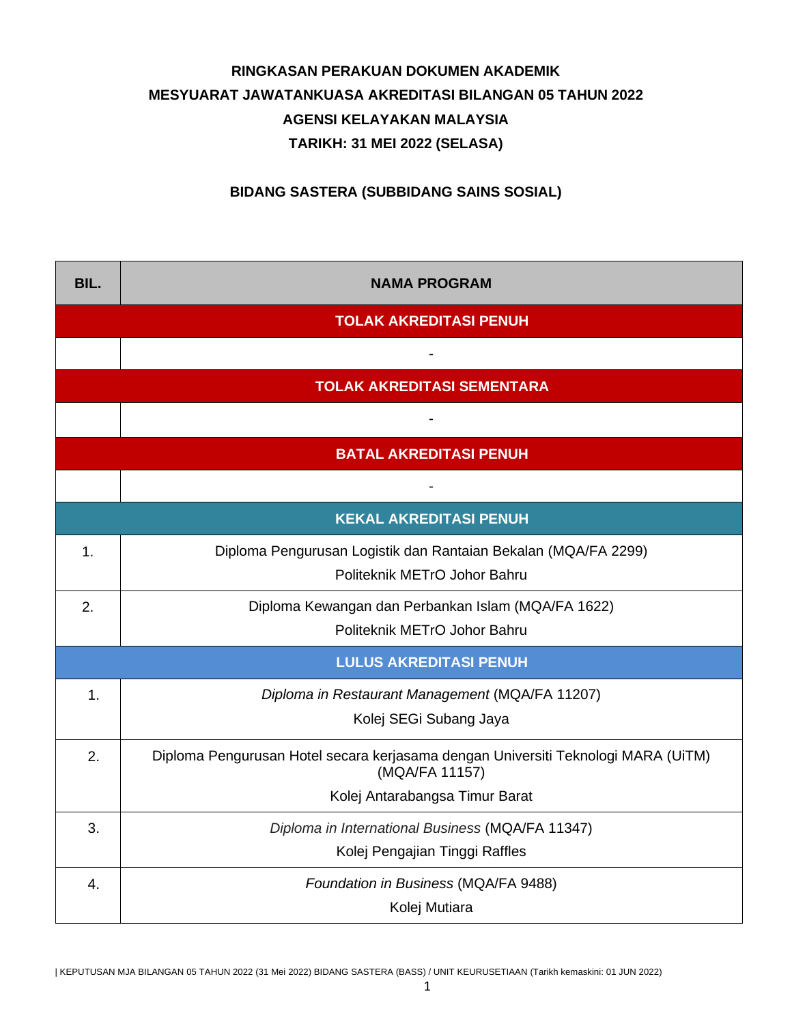## **RINGKASAN PERAKUAN DOKUMEN AKADEMIK MESYUARAT JAWATANKUASA AKREDITASI BILANGAN 05 TAHUN 2022 AGENSI KELAYAKAN MALAYSIA TARIKH: 31 MEI 2022 (SELASA)**

**BIDANG SASTERA (SUBBIDANG SAINS SOSIAL)**

| BIL.                          | <b>NAMA PROGRAM</b>                                                                                 |  |  |  |  |
|-------------------------------|-----------------------------------------------------------------------------------------------------|--|--|--|--|
|                               | <b>TOLAK AKREDITASI PENUH</b>                                                                       |  |  |  |  |
|                               |                                                                                                     |  |  |  |  |
|                               | <b>TOLAK AKREDITASI SEMENTARA</b>                                                                   |  |  |  |  |
|                               |                                                                                                     |  |  |  |  |
| <b>BATAL AKREDITASI PENUH</b> |                                                                                                     |  |  |  |  |
|                               |                                                                                                     |  |  |  |  |
| <b>KEKAL AKREDITASI PENUH</b> |                                                                                                     |  |  |  |  |
| 1.                            | Diploma Pengurusan Logistik dan Rantaian Bekalan (MQA/FA 2299)<br>Politeknik METrO Johor Bahru      |  |  |  |  |
| 2.                            | Diploma Kewangan dan Perbankan Islam (MQA/FA 1622)<br>Politeknik METrO Johor Bahru                  |  |  |  |  |
|                               | <b>LULUS AKREDITASI PENUH</b>                                                                       |  |  |  |  |
| $\mathbf{1}$ .                | Diploma in Restaurant Management (MQA/FA 11207)                                                     |  |  |  |  |
|                               | Kolej SEGi Subang Jaya                                                                              |  |  |  |  |
| 2.                            | Diploma Pengurusan Hotel secara kerjasama dengan Universiti Teknologi MARA (UiTM)<br>(MQA/FA 11157) |  |  |  |  |
|                               | Kolej Antarabangsa Timur Barat                                                                      |  |  |  |  |
| 3.                            | Diploma in International Business (MQA/FA 11347)                                                    |  |  |  |  |
|                               | Kolej Pengajian Tinggi Raffles                                                                      |  |  |  |  |
| 4.                            | Foundation in Business (MQA/FA 9488)                                                                |  |  |  |  |
|                               | Kolej Mutiara                                                                                       |  |  |  |  |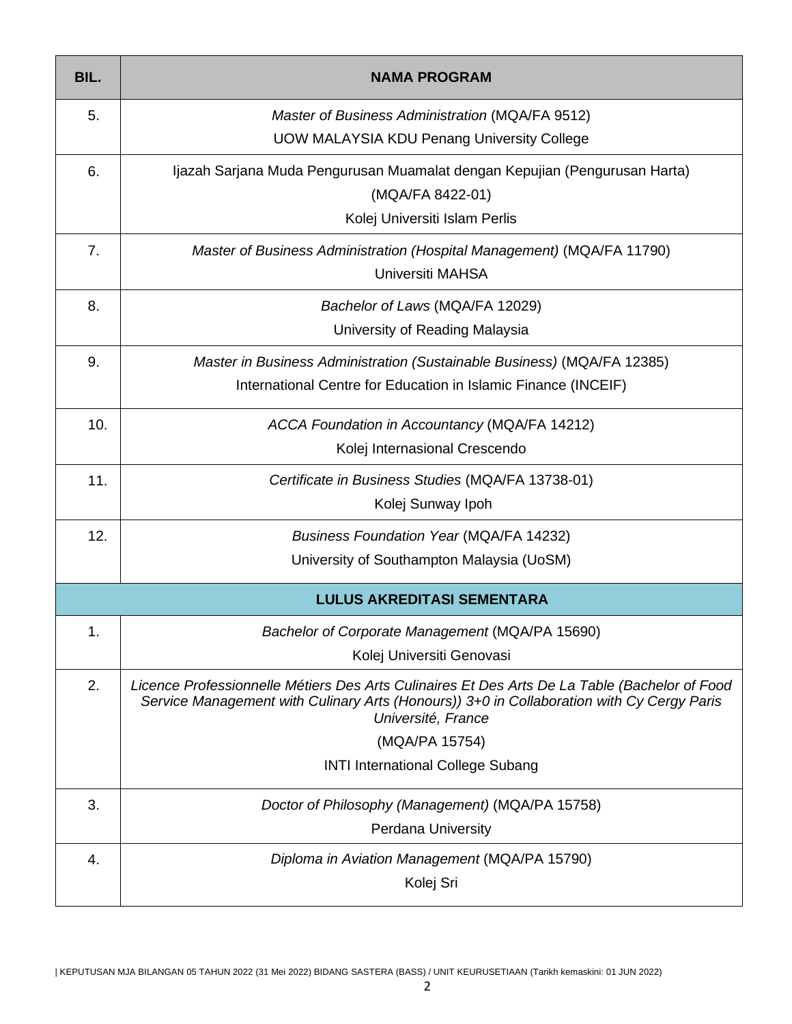| BIL. | <b>NAMA PROGRAM</b>                                                                                                                                                                                              |  |  |
|------|------------------------------------------------------------------------------------------------------------------------------------------------------------------------------------------------------------------|--|--|
| 5.   | Master of Business Administration (MQA/FA 9512)                                                                                                                                                                  |  |  |
|      | <b>UOW MALAYSIA KDU Penang University College</b>                                                                                                                                                                |  |  |
| 6.   | Ijazah Sarjana Muda Pengurusan Muamalat dengan Kepujian (Pengurusan Harta)                                                                                                                                       |  |  |
|      | (MQA/FA 8422-01)                                                                                                                                                                                                 |  |  |
|      | Kolej Universiti Islam Perlis                                                                                                                                                                                    |  |  |
| 7.   | Master of Business Administration (Hospital Management) (MQA/FA 11790)                                                                                                                                           |  |  |
|      | <b>Universiti MAHSA</b>                                                                                                                                                                                          |  |  |
| 8.   | Bachelor of Laws (MQA/FA 12029)                                                                                                                                                                                  |  |  |
|      | University of Reading Malaysia                                                                                                                                                                                   |  |  |
| 9.   | Master in Business Administration (Sustainable Business) (MQA/FA 12385)                                                                                                                                          |  |  |
|      | International Centre for Education in Islamic Finance (INCEIF)                                                                                                                                                   |  |  |
| 10.  | ACCA Foundation in Accountancy (MQA/FA 14212)                                                                                                                                                                    |  |  |
|      | Kolej Internasional Crescendo                                                                                                                                                                                    |  |  |
| 11.  | Certificate in Business Studies (MQA/FA 13738-01)                                                                                                                                                                |  |  |
|      | Kolej Sunway Ipoh                                                                                                                                                                                                |  |  |
| 12.  | <b>Business Foundation Year (MQA/FA 14232)</b>                                                                                                                                                                   |  |  |
|      | University of Southampton Malaysia (UoSM)                                                                                                                                                                        |  |  |
|      | <b>LULUS AKREDITASI SEMENTARA</b>                                                                                                                                                                                |  |  |
| 1.   | Bachelor of Corporate Management (MQA/PA 15690)                                                                                                                                                                  |  |  |
|      | Kolej Universiti Genovasi                                                                                                                                                                                        |  |  |
| 2.   | Licence Professionnelle Métiers Des Arts Culinaires Et Des Arts De La Table (Bachelor of Food<br>Service Management with Culinary Arts (Honours)) 3+0 in Collaboration with Cy Cergy Paris<br>Université, France |  |  |
|      | (MQA/PA 15754)                                                                                                                                                                                                   |  |  |
|      | <b>INTI International College Subang</b>                                                                                                                                                                         |  |  |
| 3.   | Doctor of Philosophy (Management) (MQA/PA 15758)                                                                                                                                                                 |  |  |
|      | <b>Perdana University</b>                                                                                                                                                                                        |  |  |
| 4.   | Diploma in Aviation Management (MQA/PA 15790)                                                                                                                                                                    |  |  |
|      | Kolej Sri                                                                                                                                                                                                        |  |  |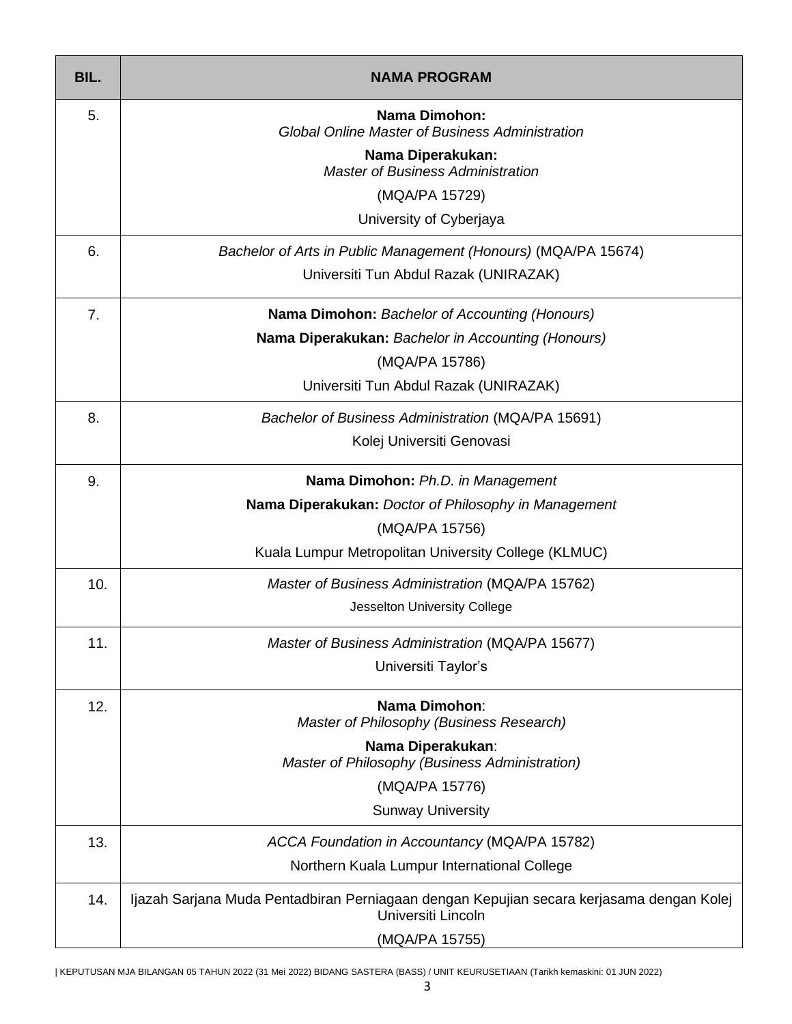| BIL. | <b>NAMA PROGRAM</b>                                                                                            |  |  |  |  |
|------|----------------------------------------------------------------------------------------------------------------|--|--|--|--|
| 5.   | Nama Dimohon:<br><b>Global Online Master of Business Administration</b>                                        |  |  |  |  |
|      | Nama Diperakukan:<br><b>Master of Business Administration</b>                                                  |  |  |  |  |
|      | (MQA/PA 15729)                                                                                                 |  |  |  |  |
|      | University of Cyberjaya                                                                                        |  |  |  |  |
| 6.   | Bachelor of Arts in Public Management (Honours) (MQA/PA 15674)                                                 |  |  |  |  |
|      | Universiti Tun Abdul Razak (UNIRAZAK)                                                                          |  |  |  |  |
| 7.   | <b>Nama Dimohon:</b> Bachelor of Accounting (Honours)                                                          |  |  |  |  |
|      | Nama Diperakukan: Bachelor in Accounting (Honours)                                                             |  |  |  |  |
|      | (MQA/PA 15786)                                                                                                 |  |  |  |  |
|      | Universiti Tun Abdul Razak (UNIRAZAK)                                                                          |  |  |  |  |
| 8.   | Bachelor of Business Administration (MQA/PA 15691)                                                             |  |  |  |  |
|      | Kolej Universiti Genovasi                                                                                      |  |  |  |  |
| 9.   | Nama Dimohon: Ph.D. in Management                                                                              |  |  |  |  |
|      | Nama Diperakukan: Doctor of Philosophy in Management                                                           |  |  |  |  |
|      | (MQA/PA 15756)                                                                                                 |  |  |  |  |
|      | Kuala Lumpur Metropolitan University College (KLMUC)                                                           |  |  |  |  |
| 10.  | Master of Business Administration (MQA/PA 15762)                                                               |  |  |  |  |
|      | Jesselton University College                                                                                   |  |  |  |  |
| 11.  | Master of Business Administration (MQA/PA 15677)                                                               |  |  |  |  |
|      | Universiti Taylor's                                                                                            |  |  |  |  |
| 12.  | <b>Nama Dimohon:</b><br>Master of Philosophy (Business Research)                                               |  |  |  |  |
|      | Nama Diperakukan:<br>Master of Philosophy (Business Administration)                                            |  |  |  |  |
|      | (MQA/PA 15776)                                                                                                 |  |  |  |  |
|      | <b>Sunway University</b>                                                                                       |  |  |  |  |
| 13.  | ACCA Foundation in Accountancy (MQA/PA 15782)                                                                  |  |  |  |  |
|      | Northern Kuala Lumpur International College                                                                    |  |  |  |  |
| 14.  | Ijazah Sarjana Muda Pentadbiran Perniagaan dengan Kepujian secara kerjasama dengan Kolej<br>Universiti Lincoln |  |  |  |  |
|      | (MQA/PA 15755)                                                                                                 |  |  |  |  |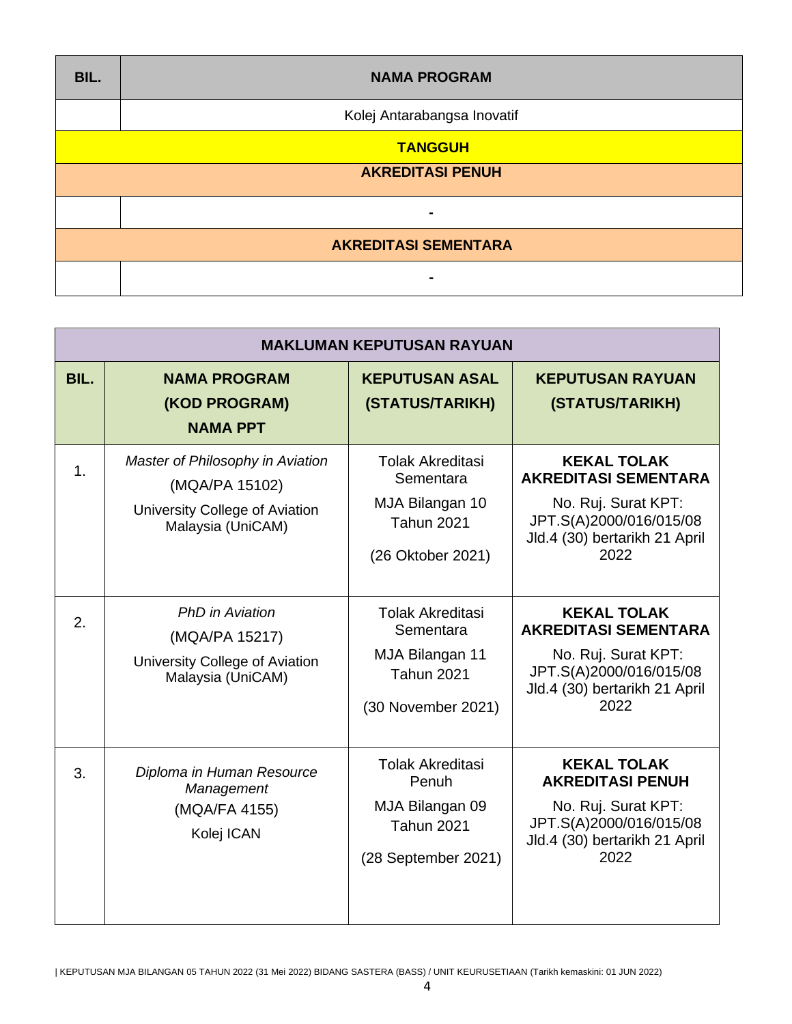| BIL.                        | <b>NAMA PROGRAM</b>         |  |  |
|-----------------------------|-----------------------------|--|--|
|                             | Kolej Antarabangsa Inovatif |  |  |
| <b>TANGGUH</b>              |                             |  |  |
| <b>AKREDITASI PENUH</b>     |                             |  |  |
|                             | $\overline{\phantom{0}}$    |  |  |
| <b>AKREDITASI SEMENTARA</b> |                             |  |  |
|                             |                             |  |  |

| <b>MAKLUMAN KEPUTUSAN RAYUAN</b> |                                                                                                           |                                                                                                    |                                                                                                                                              |  |  |
|----------------------------------|-----------------------------------------------------------------------------------------------------------|----------------------------------------------------------------------------------------------------|----------------------------------------------------------------------------------------------------------------------------------------------|--|--|
| BIL.                             | <b>NAMA PROGRAM</b><br>(KOD PROGRAM)<br><b>NAMA PPT</b>                                                   | <b>KEPUTUSAN ASAL</b><br>(STATUS/TARIKH)                                                           | <b>KEPUTUSAN RAYUAN</b><br>(STATUS/TARIKH)                                                                                                   |  |  |
| $\mathbf 1$ .                    | Master of Philosophy in Aviation<br>(MQA/PA 15102)<br>University College of Aviation<br>Malaysia (UniCAM) | <b>Tolak Akreditasi</b><br>Sementara<br>MJA Bilangan 10<br><b>Tahun 2021</b><br>(26 Oktober 2021)  | <b>KEKAL TOLAK</b><br><b>AKREDITASI SEMENTARA</b><br>No. Ruj. Surat KPT:<br>JPT.S(A)2000/016/015/08<br>Jld.4 (30) bertarikh 21 April<br>2022 |  |  |
| 2.                               | <b>PhD</b> in Aviation<br>(MQA/PA 15217)<br>University College of Aviation<br>Malaysia (UniCAM)           | <b>Tolak Akreditasi</b><br>Sementara<br>MJA Bilangan 11<br><b>Tahun 2021</b><br>(30 November 2021) | <b>KEKAL TOLAK</b><br><b>AKREDITASI SEMENTARA</b><br>No. Ruj. Surat KPT:<br>JPT.S(A)2000/016/015/08<br>Jld.4 (30) bertarikh 21 April<br>2022 |  |  |
| 3.                               | Diploma in Human Resource<br>Management<br>(MQA/FA 4155)<br>Kolej ICAN                                    | <b>Tolak Akreditasi</b><br>Penuh<br>MJA Bilangan 09<br><b>Tahun 2021</b><br>(28 September 2021)    | <b>KEKAL TOLAK</b><br><b>AKREDITASI PENUH</b><br>No. Ruj. Surat KPT:<br>JPT.S(A)2000/016/015/08<br>Jld.4 (30) bertarikh 21 April<br>2022     |  |  |